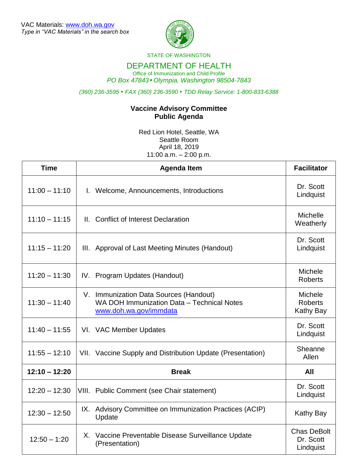

STATE OF WASHINGTON

## DEPARTMENT OF HEALTH

Office of Immunization and Child Profile *PO Box 47843 Olympia, Washington 98504-7843*

*(360) 236-3595 FAX (360) 236-3590 TDD Relay Service: 1-800-833-6388*

## **Vaccine Advisory Committee Public Agenda**

Red Lion Hotel, Seattle, WA Seattle Room April 18, 2019 11:00 a.m. – 2:00 p.m.

| <b>Time</b>     | <b>Agenda Item</b>                                                                                             | <b>Facilitator</b>                                   |
|-----------------|----------------------------------------------------------------------------------------------------------------|------------------------------------------------------|
| $11:00 - 11:10$ | I. Welcome, Announcements, Introductions                                                                       | Dr. Scott<br>Lindquist                               |
| $11:10 - 11:15$ | II. Conflict of Interest Declaration                                                                           | Michelle<br>Weatherly                                |
| $11:15 - 11:20$ | III. Approval of Last Meeting Minutes (Handout)                                                                | Dr. Scott<br>Lindquist                               |
| $11:20 - 11:30$ | IV. Program Updates (Handout)                                                                                  | <b>Michele</b><br><b>Roberts</b>                     |
| $11:30 - 11:40$ | V. Immunization Data Sources (Handout)<br>WA DOH Immunization Data - Technical Notes<br>www.doh.wa.gov/immdata | <b>Michele</b><br><b>Roberts</b><br><b>Kathy Bay</b> |
| $11:40 - 11:55$ | VI. VAC Member Updates                                                                                         | Dr. Scott<br>Lindquist                               |
| $11:55 - 12:10$ | VII. Vaccine Supply and Distribution Update (Presentation)                                                     | Sheanne<br>Allen                                     |
| $12:10 - 12:20$ | <b>Break</b>                                                                                                   | All                                                  |
| $12:20 - 12:30$ | VIII. Public Comment (see Chair statement)                                                                     | Dr. Scott<br>Lindquist                               |
| $12:30 - 12:50$ | IX. Advisory Committee on Immunization Practices (ACIP)<br>Update                                              | Kathy Bay                                            |
| $12:50 - 1:20$  | X. Vaccine Preventable Disease Surveillance Update<br>(Presentation)                                           | <b>Chas DeBolt</b><br>Dr. Scott<br>Lindquist         |